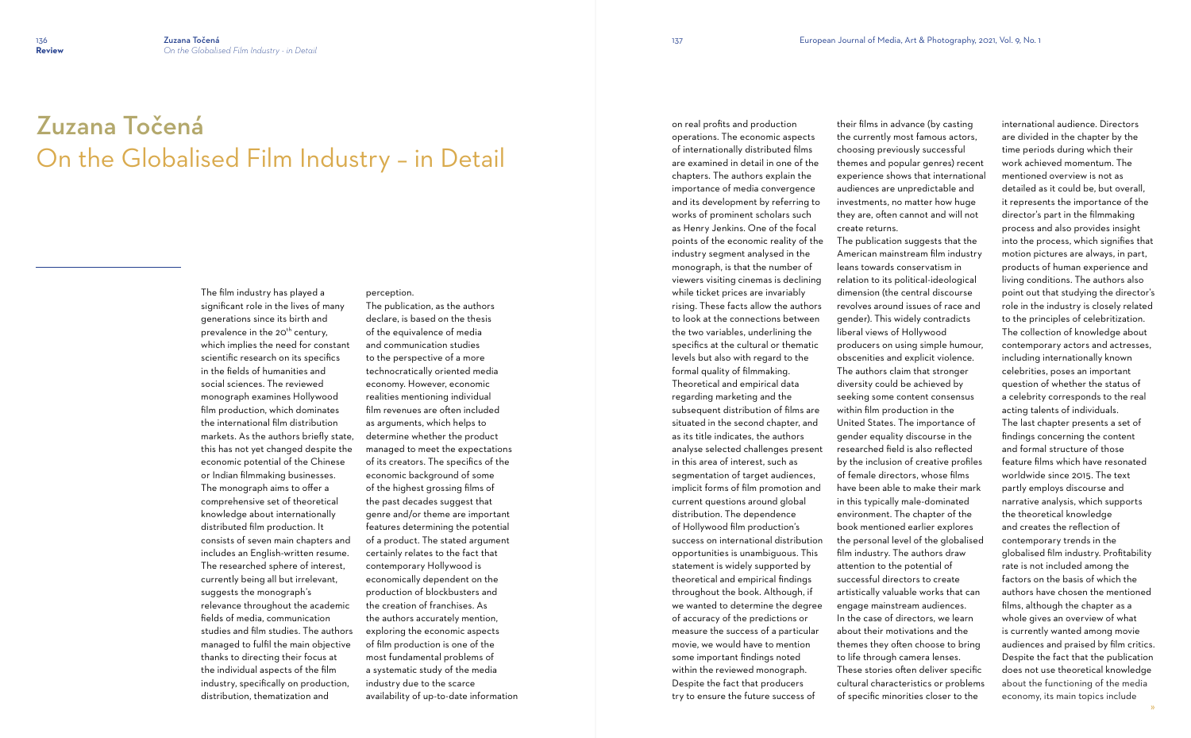## Zuzana Točená On the Globalised Film Industry – in Detail

The film industry has played a significant role in the lives of many generations since its birth and prevalence in the  $20<sup>th</sup>$  century, which implies the need for constant scientific research on its specifics in the fields of humanities and social sciences. The reviewed monograph examines Hollywood film production, which dominates the international film distribution markets. As the authors briefly state, this has not yet changed despite the economic potential of the Chinese or Indian filmmaking businesses. The monograph aims to offer a comprehensive set of theoretical knowledge about internationally distributed film production. It consists of seven main chapters and includes an English-written resume. The researched sphere of interest, currently being all but irrelevant, suggests the monograph's relevance throughout the academic fields of media, communication studies and film studies. The authors managed to fulfil the main objective thanks to directing their focus at the individual aspects of the film industry, specifically on production, distribution, thematization and

perception. The publication, as the authors declare, is based on the thesis of the equivalence of media and communication studies to the perspective of a more technocratically oriented media economy. However, economic realities mentioning individual film revenues are often included as arguments, which helps to determine whether the product managed to meet the expectations of its creators. The specifics of the economic background of some of the highest grossing films of the past decades suggest that genre and/or theme are important features determining the potential of a product. The stated argument certainly relates to the fact that contemporary Hollywood is economically dependent on the production of blockbusters and the creation of franchises. As the authors accurately mention, exploring the economic aspects of film production is one of the most fundamental problems of a systematic study of the media industry due to the scarce availability of up-to-date information on real profits and production operations. The economic aspects of internationally distributed films are examined in detail in one of the chapters. The authors explain the importance of media convergence and its development by referring to works of prominent scholars such as Henry Jenkins. One of the focal points of the economic reality of the industry segment analysed in the monograph, is that the number of viewers visiting cinemas is declining while ticket prices are invariably rising. These facts allow the authors to look at the connections between the two variables, underlining the specifics at the cultural or thematic levels but also with regard to the formal quality of filmmaking. Theoretical and empirical data regarding marketing and the subsequent distribution of films are situated in the second chapter, and as its title indicates, the authors analyse selected challenges present in this area of interest, such as segmentation of target audiences, implicit forms of film promotion and current questions around global distribution. The dependence of Hollywood film production's success on international distribution opportunities is unambiguous. This statement is widely supported by theoretical and empirical findings throughout the book. Although, if we wanted to determine the degree of accuracy of the predictions or measure the success of a particular movie, we would have to mention some important findings noted within the reviewed monograph. Despite the fact that producers try to ensure the future success of

their films in advance (by casting the currently most famous actors, choosing previously successful themes and popular genres) recent experience shows that international audiences are unpredictable and investments, no matter how huge they are, often cannot and will not create returns. The publication suggests that the American mainstream film industry leans towards conservatism in relation to its political-ideological dimension (the central discourse revolves around issues of race and gender). This widely contradicts liberal views of Hollywood producers on using simple humour, obscenities and explicit violence. The authors claim that stronger diversity could be achieved by seeking some content consensus within film production in the United States. The importance of gender equality discourse in the researched field is also reflected by the inclusion of creative profiles of female directors, whose films have been able to make their mark in this typically male-dominated environment. The chapter of the book mentioned earlier explores the personal level of the globalised film industry. The authors draw attention to the potential of successful directors to create artistically valuable works that can engage mainstream audiences. In the case of directors, we learn about their motivations and the themes they often choose to bring to life through camera lenses. These stories often deliver specific cultural characteristics or problems of specific minorities closer to the

international audience. Directors are divided in the chapter by the time periods during which their work achieved momentum. The mentioned overview is not as detailed as it could be, but overall, it represents the importance of the director's part in the filmmaking process and also provides insight into the process, which signifies that motion pictures are always, in part, products of human experience and living conditions. The authors also point out that studying the director's role in the industry is closely related to the principles of celebritization. The collection of knowledge about contemporary actors and actresses, including internationally known celebrities, poses an important question of whether the status of a celebrity corresponds to the real acting talents of individuals. The last chapter presents a set of findings concerning the content and formal structure of those feature films which have resonated worldwide since 2015. The text partly employs discourse and narrative analysis, which supports the theoretical knowledge and creates the reflection of contemporary trends in the globalised film industry. Profitability rate is not included among the factors on the basis of which the authors have chosen the mentioned films, although the chapter as a whole gives an overview of what is currently wanted among movie audiences and praised by film critics. Despite the fact that the publication does not use theoretical knowledge about the functioning of the media economy, its main topics include